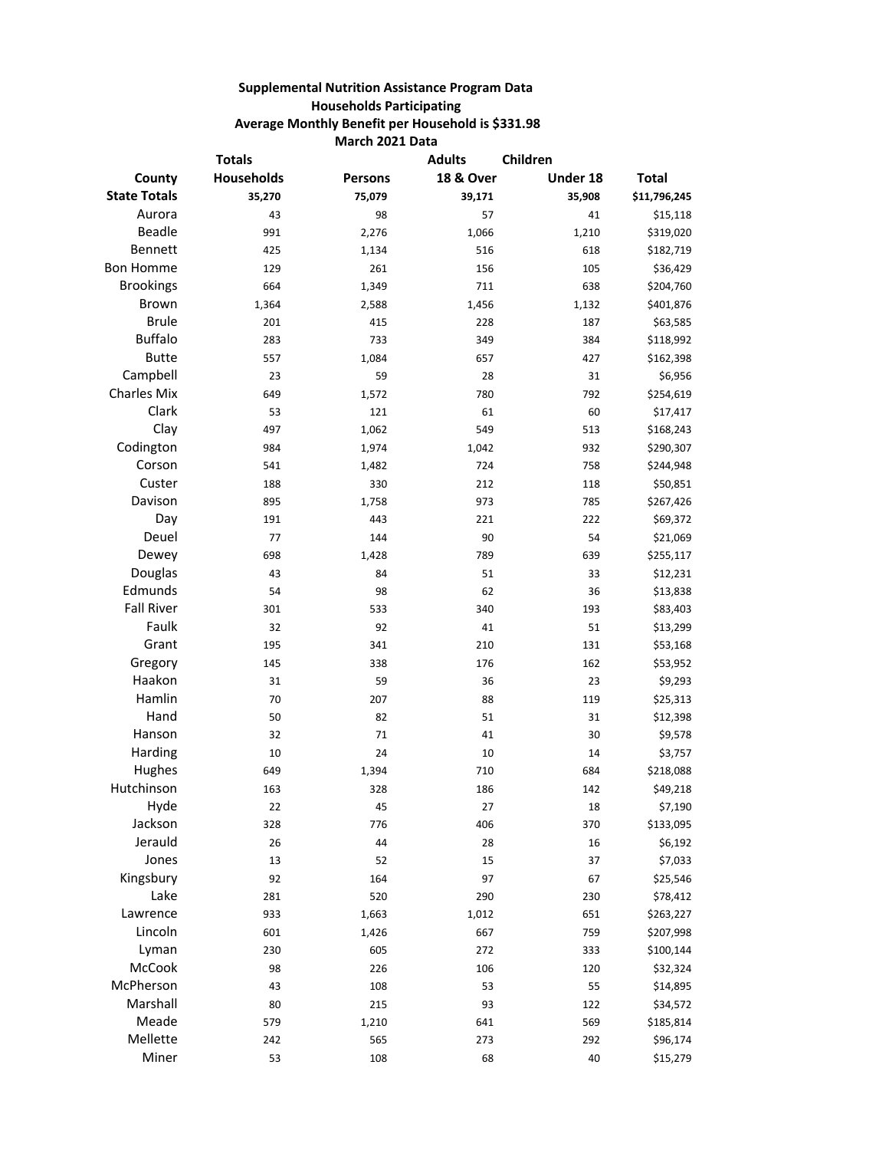## **Supplemental Nutrition Assistance Program Data Households Participating Average Monthly Benefit per Household is \$331.98 March 2021 Data**

| <b>Totals</b>       |                   | <b>Adults</b><br>Children |                      |          |              |
|---------------------|-------------------|---------------------------|----------------------|----------|--------------|
| County              | <b>Households</b> | <b>Persons</b>            | <b>18 &amp; Over</b> | Under 18 | <b>Total</b> |
| <b>State Totals</b> | 35,270            | 75,079                    | 39,171               | 35,908   | \$11,796,245 |
| Aurora              | 43                | 98                        | 57                   | 41       | \$15,118     |
| <b>Beadle</b>       | 991               | 2,276                     | 1,066                | 1,210    | \$319,020    |
| Bennett             | 425               | 1,134                     | 516                  | 618      | \$182,719    |
| <b>Bon Homme</b>    | 129               | 261                       | 156                  | 105      | \$36,429     |
| <b>Brookings</b>    | 664               | 1,349                     | 711                  | 638      | \$204,760    |
| <b>Brown</b>        | 1,364             | 2,588                     | 1,456                | 1,132    | \$401,876    |
| <b>Brule</b>        | 201               | 415                       | 228                  | 187      | \$63,585     |
| <b>Buffalo</b>      | 283               | 733                       | 349                  | 384      | \$118,992    |
| <b>Butte</b>        | 557               | 1,084                     | 657                  | 427      | \$162,398    |
| Campbell            | 23                | 59                        | 28                   | 31       | \$6,956      |
| <b>Charles Mix</b>  | 649               | 1,572                     | 780                  | 792      | \$254,619    |
| Clark               | 53                | 121                       | 61                   | 60       | \$17,417     |
| Clay                | 497               | 1,062                     | 549                  | 513      | \$168,243    |
| Codington           | 984               | 1,974                     | 1,042                | 932      | \$290,307    |
| Corson              | 541               | 1,482                     | 724                  | 758      | \$244,948    |
| Custer              | 188               | 330                       | 212                  | 118      | \$50,851     |
| Davison             | 895               | 1,758                     | 973                  | 785      | \$267,426    |
| Day                 | 191               | 443                       | 221                  | 222      | \$69,372     |
| Deuel               | 77                | 144                       | 90                   | 54       | \$21,069     |
| Dewey               | 698               | 1,428                     | 789                  | 639      | \$255,117    |
| Douglas             | 43                | 84                        | 51                   | 33       | \$12,231     |
| Edmunds             | 54                | 98                        | 62                   | 36       | \$13,838     |
| <b>Fall River</b>   | 301               | 533                       | 340                  | 193      | \$83,403     |
| Faulk               | 32                | 92                        | 41                   | 51       | \$13,299     |
| Grant               | 195               | 341                       | 210                  | 131      | \$53,168     |
| Gregory             | 145               | 338                       | 176                  | 162      | \$53,952     |
| Haakon              | 31                | 59                        | 36                   | 23       | \$9,293      |
| Hamlin              | 70                | 207                       | 88                   | 119      | \$25,313     |
| Hand                | 50                | 82                        | 51                   | 31       | \$12,398     |
| Hanson              | 32                | 71                        | 41                   | 30       | \$9,578      |
| Harding             | 10                | 24                        | 10                   | 14       | \$3,757      |
| Hughes              | 649               | 1,394                     | 710                  | 684      | \$218,088    |
| Hutchinson          | 163               | 328                       | 186                  | 142      | \$49,218     |
| Hyde                | 22                | 45                        | 27                   | 18       | \$7,190      |
| Jackson             | 328               | 776                       | 406                  | 370      | \$133,095    |
| Jerauld             | 26                | 44                        | 28                   | 16       | \$6,192      |
| Jones               | 13                | 52                        | 15                   | 37       | \$7,033      |
| Kingsbury           | 92                | 164                       | 97                   | 67       | \$25,546     |
| Lake                | 281               | 520                       | 290                  | 230      | \$78,412     |
| Lawrence            | 933               | 1,663                     | 1,012                | 651      | \$263,227    |
| Lincoln             | 601               | 1,426                     | 667                  | 759      | \$207,998    |
| Lyman               | 230               | 605                       | 272                  | 333      | \$100,144    |
| McCook              | 98                | 226                       | 106                  | 120      | \$32,324     |
| McPherson           | 43                | 108                       | 53                   | 55       | \$14,895     |
| Marshall            | 80                | 215                       | 93                   | 122      | \$34,572     |
| Meade               | 579               | 1,210                     | 641                  | 569      | \$185,814    |
| Mellette            | 242               | 565                       | 273                  | 292      | \$96,174     |
| Miner               | 53                | 108                       | 68                   | 40       | \$15,279     |